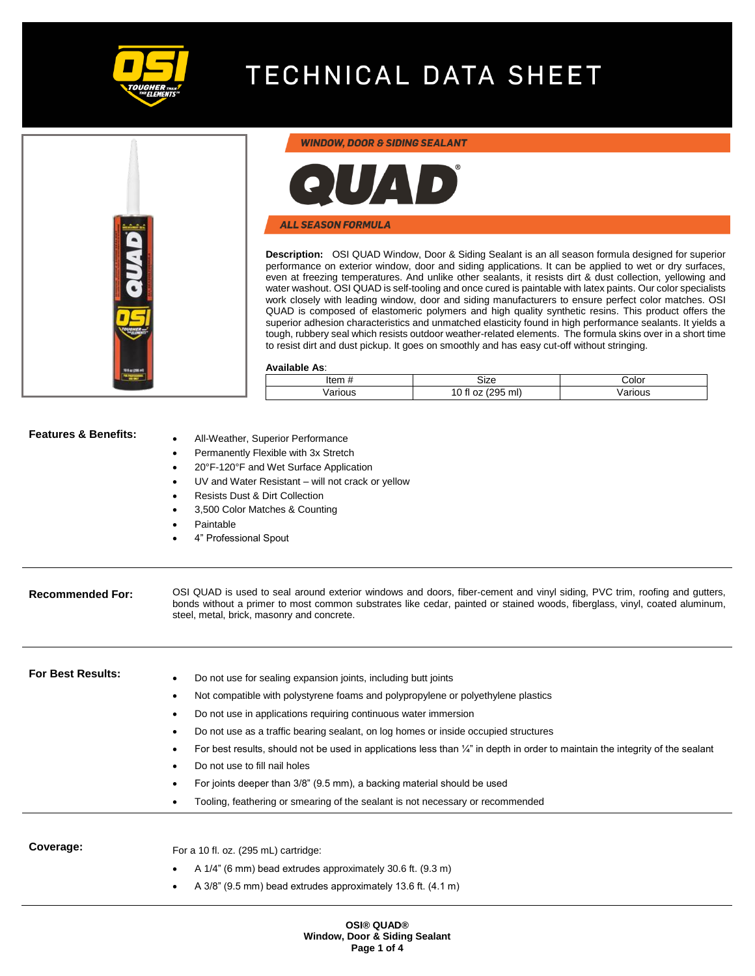

### **WINDOW, DOOR & SIDING SEALANT**



#### **ALL SEASON FORMULA**

**Description:** OSI QUAD Window, Door & Siding Sealant is an all season formula designed for superior performance on exterior window, door and siding applications. It can be applied to wet or dry surfaces, even at freezing temperatures. And unlike other sealants, it resists dirt & dust collection, yellowing and water washout. OSI QUAD is self-tooling and once cured is paintable with latex paints. Our color specialists work closely with leading window, door and siding manufacturers to ensure perfect color matches. OSI QUAD is composed of elastomeric polymers and high quality synthetic resins. This product offers the superior adhesion characteristics and unmatched elasticity found in high performance sealants. It yields a tough, rubbery seal which resists outdoor weather-related elements. The formula skins over in a short time to resist dirt and dust pickup. It goes on smoothly and has easy cut-off without stringing.

#### **Available As**:

| Item    | izeد                                          | ∠olor  |
|---------|-----------------------------------------------|--------|
| /arious | ml)<br>$\cap$ fi<br>295<br>$\sim$<br>.UZ<br>v | arious |

| <b>Features &amp; Benefits:</b> | All-Weather, Superior Performance<br>Permanently Flexible with 3x Stretch<br>20°F-120°F and Wet Surface Application<br>UV and Water Resistant - will not crack or yellow<br><b>Resists Dust &amp; Dirt Collection</b><br>3,500 Color Matches & Counting<br>Paintable<br>4" Professional Spout                                                                                                                                                                                                                                                                                                                                                                        |
|---------------------------------|----------------------------------------------------------------------------------------------------------------------------------------------------------------------------------------------------------------------------------------------------------------------------------------------------------------------------------------------------------------------------------------------------------------------------------------------------------------------------------------------------------------------------------------------------------------------------------------------------------------------------------------------------------------------|
| <b>Recommended For:</b>         | OSI QUAD is used to seal around exterior windows and doors, fiber-cement and vinyl siding, PVC trim, roofing and gutters,<br>bonds without a primer to most common substrates like cedar, painted or stained woods, fiberglass, vinyl, coated aluminum,<br>steel, metal, brick, masonry and concrete.                                                                                                                                                                                                                                                                                                                                                                |
| <b>For Best Results:</b>        | Do not use for sealing expansion joints, including butt joints<br>Not compatible with polystyrene foams and polypropylene or polyethylene plastics<br>$\bullet$<br>Do not use in applications requiring continuous water immersion<br>Do not use as a traffic bearing sealant, on log homes or inside occupied structures<br>For best results, should not be used in applications less than $\frac{1}{4}$ " in depth in order to maintain the integrity of the sealant<br>Do not use to fill nail holes<br>For joints deeper than 3/8" (9.5 mm), a backing material should be used<br>Tooling, feathering or smearing of the sealant is not necessary or recommended |
| Coverage:                       | For a 10 fl. oz. (295 mL) cartridge:<br>A 1/4" (6 mm) bead extrudes approximately 30.6 ft. (9.3 m)<br>A 3/8" (9.5 mm) bead extrudes approximately 13.6 ft. (4.1 m)                                                                                                                                                                                                                                                                                                                                                                                                                                                                                                   |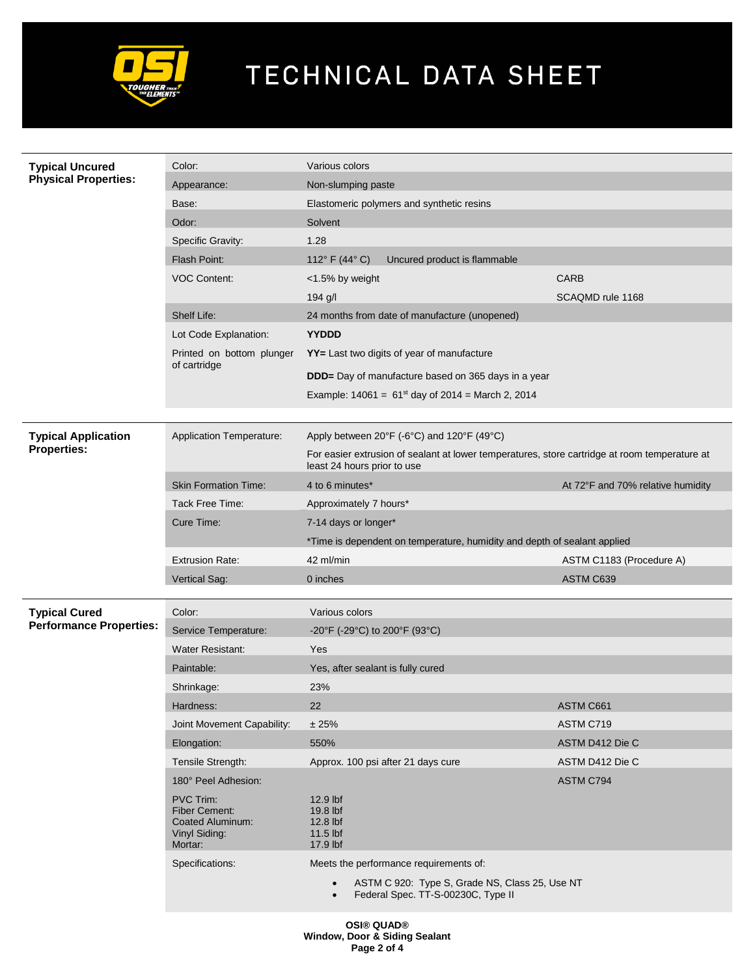

| <b>Typical Uncured</b><br><b>Physical Properties:</b> | Color:                                                                            | Various colors                                                                                                               |                                   |  |
|-------------------------------------------------------|-----------------------------------------------------------------------------------|------------------------------------------------------------------------------------------------------------------------------|-----------------------------------|--|
|                                                       | Appearance:                                                                       | Non-slumping paste                                                                                                           |                                   |  |
|                                                       | Base:                                                                             | Elastomeric polymers and synthetic resins                                                                                    |                                   |  |
|                                                       | Odor:                                                                             | Solvent                                                                                                                      |                                   |  |
|                                                       | Specific Gravity:                                                                 | 1.28                                                                                                                         |                                   |  |
|                                                       | Flash Point:                                                                      | 112 $\degree$ F (44 $\degree$ C)<br>Uncured product is flammable                                                             |                                   |  |
|                                                       | <b>VOC Content:</b>                                                               | <1.5% by weight                                                                                                              | <b>CARB</b>                       |  |
|                                                       |                                                                                   | 194 g/l                                                                                                                      | SCAQMD rule 1168                  |  |
|                                                       | Shelf Life:                                                                       | 24 months from date of manufacture (unopened)                                                                                |                                   |  |
|                                                       | Lot Code Explanation:                                                             | <b>YYDDD</b>                                                                                                                 |                                   |  |
|                                                       | Printed on bottom plunger<br>of cartridge                                         | YY= Last two digits of year of manufacture                                                                                   |                                   |  |
|                                                       |                                                                                   | <b>DDD</b> = Day of manufacture based on 365 days in a year                                                                  |                                   |  |
|                                                       |                                                                                   | Example: $14061 = 61^{st}$ day of 2014 = March 2, 2014                                                                       |                                   |  |
|                                                       |                                                                                   |                                                                                                                              |                                   |  |
| <b>Typical Application</b>                            | <b>Application Temperature:</b>                                                   | Apply between 20°F (-6°C) and 120°F (49°C)                                                                                   |                                   |  |
| <b>Properties:</b>                                    |                                                                                   | For easier extrusion of sealant at lower temperatures, store cartridge at room temperature at<br>least 24 hours prior to use |                                   |  |
|                                                       | <b>Skin Formation Time:</b>                                                       | 4 to 6 minutes*                                                                                                              | At 72°F and 70% relative humidity |  |
|                                                       | Tack Free Time:                                                                   | Approximately 7 hours*                                                                                                       |                                   |  |
|                                                       | Cure Time:                                                                        | 7-14 days or longer*                                                                                                         |                                   |  |
|                                                       |                                                                                   | *Time is dependent on temperature, humidity and depth of sealant applied                                                     |                                   |  |
|                                                       |                                                                                   |                                                                                                                              |                                   |  |
|                                                       | <b>Extrusion Rate:</b>                                                            | 42 ml/min                                                                                                                    | ASTM C1183 (Procedure A)          |  |
|                                                       | Vertical Sag:                                                                     | 0 inches                                                                                                                     | ASTM C639                         |  |
|                                                       |                                                                                   |                                                                                                                              |                                   |  |
| <b>Typical Cured</b>                                  | Color:                                                                            | Various colors                                                                                                               |                                   |  |
| <b>Performance Properties:</b>                        | Service Temperature:                                                              | -20°F (-29°C) to 200°F (93°C)                                                                                                |                                   |  |
|                                                       | <b>Water Resistant:</b>                                                           | Yes                                                                                                                          |                                   |  |
|                                                       | Paintable:                                                                        | Yes, after sealant is fully cured                                                                                            |                                   |  |
|                                                       | Shrinkage:                                                                        | 23%                                                                                                                          |                                   |  |
|                                                       | Hardness:                                                                         | 22                                                                                                                           | ASTM C661                         |  |
|                                                       | Joint Movement Capability:                                                        | ± 25%                                                                                                                        | ASTM C719                         |  |
|                                                       | Elongation:                                                                       | 550%                                                                                                                         | ASTM D412 Die C                   |  |
|                                                       | Tensile Strength:                                                                 | Approx. 100 psi after 21 days cure                                                                                           | ASTM D412 Die C                   |  |
|                                                       | 180° Peel Adhesion:                                                               |                                                                                                                              | ASTM C794                         |  |
|                                                       | PVC Trim:<br><b>Fiber Cement:</b><br>Coated Aluminum:<br>Vinyl Siding:<br>Mortar: | 12.9 lbf<br>19.8 lbf<br>12.8 lbf<br>11.5 lbf<br>17.9 lbf                                                                     |                                   |  |
|                                                       | Specifications:                                                                   | Meets the performance requirements of:                                                                                       |                                   |  |
|                                                       |                                                                                   | ASTM C 920: Type S, Grade NS, Class 25, Use NT<br>Federal Spec. TT-S-00230C, Type II                                         |                                   |  |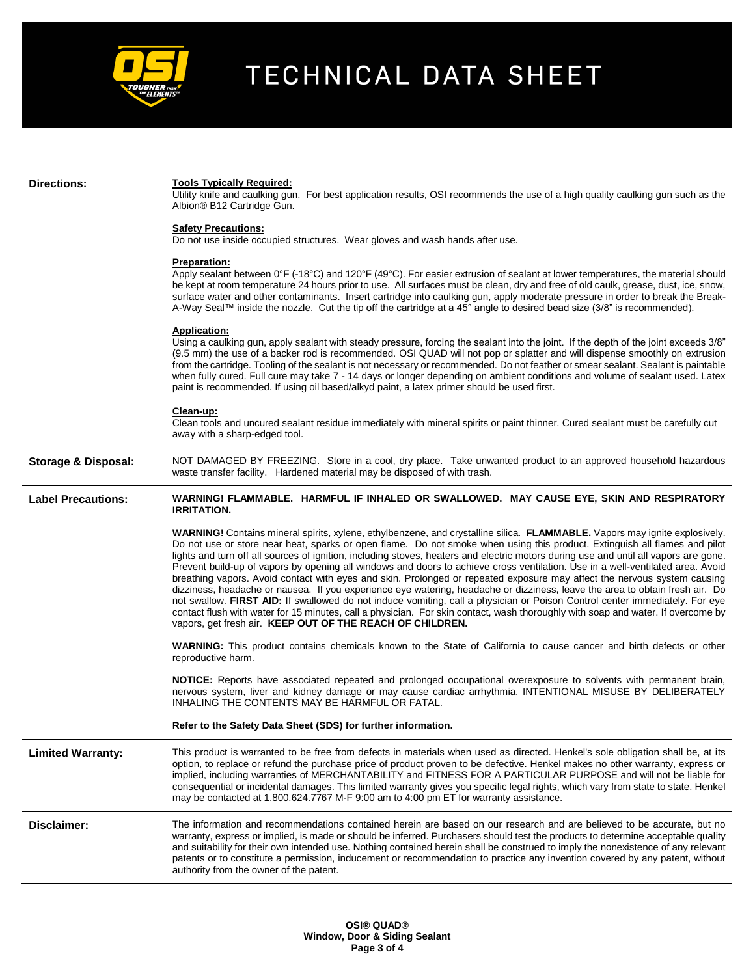

#### **Directions: Tools Typically Required:**

Utility knife and caulking gun. For best application results, OSI recommends the use of a high quality caulking gun such as the Albion® B12 Cartridge Gun.

#### **Safety Precautions:**

Do not use inside occupied structures. Wear gloves and wash hands after use.

#### **Preparation:**

Apply sealant between 0°F (-18°C) and 120°F (49°C). For easier extrusion of sealant at lower temperatures, the material should be kept at room temperature 24 hours prior to use. All surfaces must be clean, dry and free of old caulk, grease, dust, ice, snow, surface water and other contaminants. Insert cartridge into caulking gun, apply moderate pressure in order to break the Break-A-Way Seal™ inside the nozzle. Cut the tip off the cartridge at a 45° angle to desired bead size (3/8" is recommended).

#### **Application:**

Using a caulking gun, apply sealant with steady pressure, forcing the sealant into the joint. If the depth of the joint exceeds 3/8" (9.5 mm) the use of a backer rod is recommended. OSI QUAD will not pop or splatter and will dispense smoothly on extrusion from the cartridge. Tooling of the sealant is not necessary or recommended. Do not feather or smear sealant. Sealant is paintable when fully cured. Full cure may take 7 - 14 days or longer depending on ambient conditions and volume of sealant used. Latex paint is recommended. If using oil based/alkyd paint, a latex primer should be used first.

#### **Clean-up:**

Clean tools and uncured sealant residue immediately with mineral spirits or paint thinner. Cured sealant must be carefully cut away with a sharp-edged tool.

**Storage & Disposal:** NOT DAMAGED BY FREEZING. Store in a cool, dry place. Take unwanted product to an approved household hazardous waste transfer facility. Hardened material may be disposed of with trash.

**Label Precautions: WARNING! FLAMMABLE. HARMFUL IF INHALED OR SWALLOWED. MAY CAUSE EYE, SKIN AND RESPIRATORY IRRITATION.**

> **WARNING!** Contains mineral spirits, xylene, ethylbenzene, and crystalline silica. **FLAMMABLE.** Vapors may ignite explosively. Do not use or store near heat, sparks or open flame. Do not smoke when using this product. Extinguish all flames and pilot lights and turn off all sources of ignition, including stoves, heaters and electric motors during use and until all vapors are gone. Prevent build-up of vapors by opening all windows and doors to achieve cross ventilation. Use in a well-ventilated area. Avoid breathing vapors. Avoid contact with eyes and skin. Prolonged or repeated exposure may affect the nervous system causing dizziness, headache or nausea. If you experience eye watering, headache or dizziness, leave the area to obtain fresh air. Do not swallow. **FIRST AID:** If swallowed do not induce vomiting, call a physician or Poison Control center immediately. For eye contact flush with water for 15 minutes, call a physician. For skin contact, wash thoroughly with soap and water. If overcome by vapors, get fresh air. **KEEP OUT OF THE REACH OF CHILDREN.**

> **WARNING:** This product contains chemicals known to the State of California to cause cancer and birth defects or other reproductive harm.

> **NOTICE:** Reports have associated repeated and prolonged occupational overexposure to solvents with permanent brain, nervous system, liver and kidney damage or may cause cardiac arrhythmia. INTENTIONAL MISUSE BY DELIBERATELY INHALING THE CONTENTS MAY BE HARMFUL OR FATAL.

#### **Refer to the Safety Data Sheet (SDS) for further information.**

Limited Warranty: This product is warranted to be free from defects in materials when used as directed. Henkel's sole obligation shall be, at its option, to replace or refund the purchase price of product proven to be defective. Henkel makes no other warranty, express or implied, including warranties of MERCHANTABILITY and FITNESS FOR A PARTICULAR PURPOSE and will not be liable for consequential or incidental damages. This limited warranty gives you specific legal rights, which vary from state to state. Henkel may be contacted at 1.800.624.7767 M-F 9:00 am to 4:00 pm ET for warranty assistance.

**Disclaimer:** The information and recommendations contained herein are based on our research and are believed to be accurate, but no warranty, express or implied, is made or should be inferred. Purchasers should test the products to determine acceptable quality and suitability for their own intended use. Nothing contained herein shall be construed to imply the nonexistence of any relevant patents or to constitute a permission, inducement or recommendation to practice any invention covered by any patent, without authority from the owner of the patent.